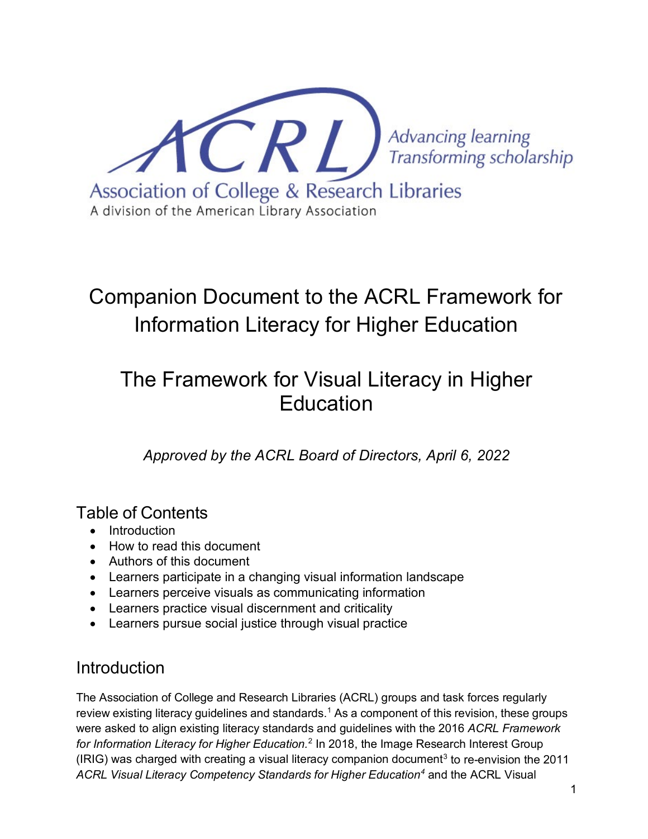

# Companion Document to the ACRL Framework for Information Literacy for Higher Education

## The Framework for Visual Literacy in Higher Education

*Approved by the ACRL Board of Directors, April 6, 2022*

### Table of Contents

- Introduction
- How to read this document
- Authors of this document
- Learners participate in a changing visual information landscape
- Learners perceive visuals as communicating information
- Learners practice visual discernment and criticality
- Learners pursue social justice through visual practice

### Introduction

The Association of College and Research Libraries (ACRL) groups and task forces regularly review existing literacy guidelines and standards[.1](#page-2-0) As a component of this revision, these groups were asked to align existing literacy standards and guidelines with the 2016 *ACRL Framework for Information Literacy for Higher Education.*[2](#page-2-1) In 2018, the Image Research Interest Group (IRIG) was charged with creating a visual literacy companion document<sup>[3](#page-2-2)</sup> to re-envision the 2011 *ACRL Visual Literacy Competency Standards for Higher Education[4](#page-3-0)* and the ACRL Visual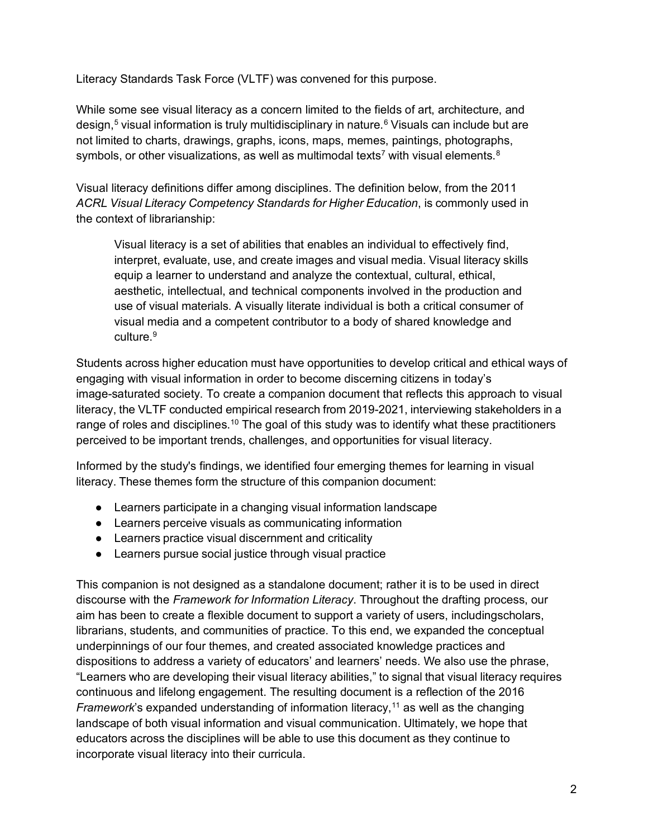Literacy Standards Task Force (VLTF) was convened for this purpose.

While some see visual literacy as a concern limited to the fields of art, architecture, and design,<sup>[5](#page-3-1)</sup> visual information is truly multidisciplinary in nature.<sup>[6](#page-3-2)</sup> Visuals can include but are not limited to charts, drawings, graphs, icons, maps, memes, paintings, photographs, symbols, or other visualizations, as well as multimodal texts<sup>7</sup> with visual elements. $8$ 

Visual literacy definitions differ among disciplines. The definition below, from the 2011 *ACRL Visual Literacy Competency Standards for Higher Education*, is commonly used in the context of librarianship:

Visual literacy is a set of abilities that enables an individual to effectively find, interpret, evaluate, use, and create images and visual media. Visual literacy skills equip a learner to understand and analyze the contextual, cultural, ethical, aesthetic, intellectual, and technical components involved in the production and use of visual materials. A visually literate individual is both a critical consumer of visual media and a competent contributor to a body of shared knowledge and culture.<sup>9</sup>

Students across higher education must have opportunities to develop critical and ethical ways of engaging with visual information in order to become discerning citizens in today's image-saturated society. To create a companion document that reflects this approach to visual literacy, the VLTF conducted empirical research from 2019-2021, interviewing stakeholders in a range of roles and disciplines.<sup>[10](#page-3-6)</sup> The goal of this study was to identify what these practitioners perceived to be important trends, challenges, and opportunities for visual literacy.

Informed by the study's findings, we identified four emerging themes for learning in visual literacy. These themes form the structure of this companion document:

- Learners participate in a changing visual information landscape
- Learners perceive visuals as communicating information
- Learners practice visual discernment and criticality
- Learners pursue social justice through visual practice

This companion is not designed as a standalone document; rather it is to be used in direct discourse with the *Framework for Information Literacy*. Throughout the drafting process, our aim has been to create a flexible document to support a variety of users, includingscholars, librarians, students, and communities of practice. To this end, we expanded the conceptual underpinnings of our four themes, and created associated knowledge practices and dispositions to address a variety of educators' and learners' needs. We also use the phrase, "Learners who are developing their visual literacy abilities," to signal that visual literacy requires continuous and lifelong engagement. The resulting document is a reflection of the 2016 *Framework*'s expanded understanding of information literacy,<sup>11</sup> as well as the changing landscape of both visual information and visual communication. Ultimately, we hope that educators across the disciplines will be able to use this document as they continue to incorporate visual literacy into their curricula.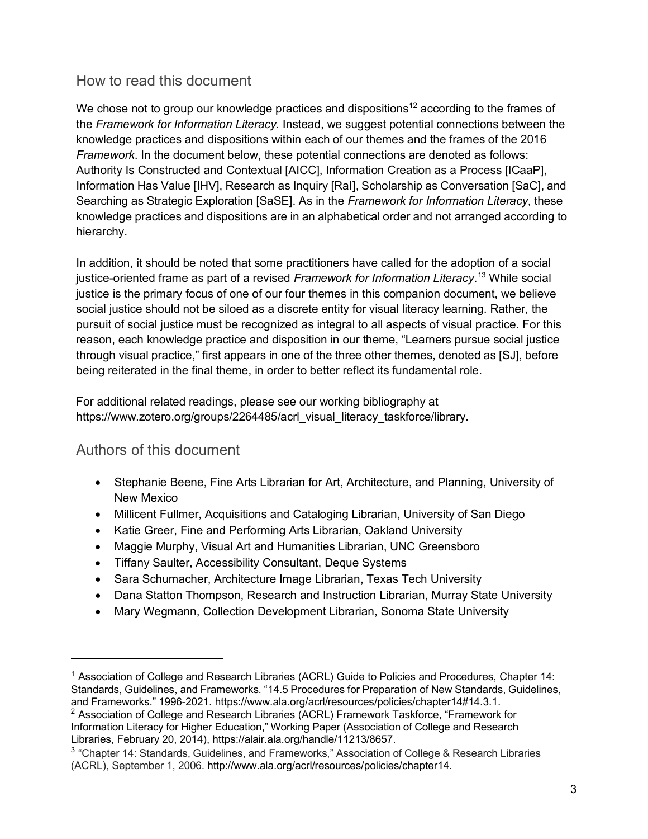#### How to read this document

We chose not to group our knowledge practices and dispositions<sup>[12](#page-3-8)</sup> according to the frames of the *Framework for Information Literacy.* Instead, we suggest potential connections between the knowledge practices and dispositions within each of our themes and the frames of the 2016 *Framework*. In the document below, these potential connections are denoted as follows: Authority Is Constructed and Contextual [AICC], Information Creation as a Process [ICaaP], Information Has Value [IHV], Research as Inquiry [RaI], Scholarship as Conversation [SaC], and Searching as Strategic Exploration [SaSE]. As in the *Framework for Information Literacy*, these knowledge practices and dispositions are in an alphabetical order and not arranged according to hierarchy.

In addition, it should be noted that some practitioners have called for the adoption of a social justice-oriented frame as part of a revised *Framework for Information Literacy*. [13](#page-3-9) While social justice is the primary focus of one of our four themes in this companion document, we believe social justice should not be siloed as a discrete entity for visual literacy learning. Rather, the pursuit of social justice must be recognized as integral to all aspects of visual practice. For this reason, each knowledge practice and disposition in our theme, "Learners pursue social justice through visual practice," first appears in one of the three other themes, denoted as [SJ], before being reiterated in the final theme, in order to better reflect its fundamental role.

For additional related readings, please see our working bibliography at [https://www.zotero.org/groups/2264485/acrl\\_visual\\_literacy\\_taskforce/library.](https://www.zotero.org/groups/2264485/acrl_visual_literacy_taskforce/library)

#### Authors of this document

- Stephanie Beene, Fine Arts Librarian for Art, Architecture, and Planning, University of New Mexico
- Millicent Fullmer, Acquisitions and Cataloging Librarian, University of San Diego
- Katie Greer, Fine and Performing Arts Librarian, Oakland University
- Maggie Murphy, Visual Art and Humanities Librarian, UNC Greensboro
- Tiffany Saulter, Accessibility Consultant, Deque Systems
- Sara Schumacher, Architecture Image Librarian, Texas Tech University
- Dana Statton Thompson, Research and Instruction Librarian, Murray State University
- Mary Wegmann, Collection Development Librarian, Sonoma State University

<span id="page-2-1"></span><sup>2</sup> Association of College and Research Libraries (ACRL) Framework Taskforce, "Framework for Information Literacy for Higher Education," Working Paper (Association of College and Research Libraries, February 20, 2014), [https://alair.ala.org/handle/11213/8657.](https://alair.ala.org/handle/11213/8657)

<span id="page-2-0"></span><sup>&</sup>lt;sup>1</sup> Association of College and Research Libraries (ACRL) Guide to Policies and Procedures, Chapter 14: Standards, Guidelines, and Frameworks. "14.5 Procedures for Preparation of New Standards, Guidelines, and Frameworks." 1996-2021. [https://www.ala.org/acrl/resources/policies/chapter14#14.3.1.](https://www.ala.org/acrl/resources/policies/chapter14#14.3.1)

<span id="page-2-2"></span><sup>&</sup>lt;sup>3</sup> "Chapter 14: Standards, Guidelines, and Frameworks," Association of College & Research Libraries (ACRL), September 1, 2006. [http://www.ala.org/acrl/resources/policies/chapter14.](http://www.ala.org/acrl/resources/policies/chapter14)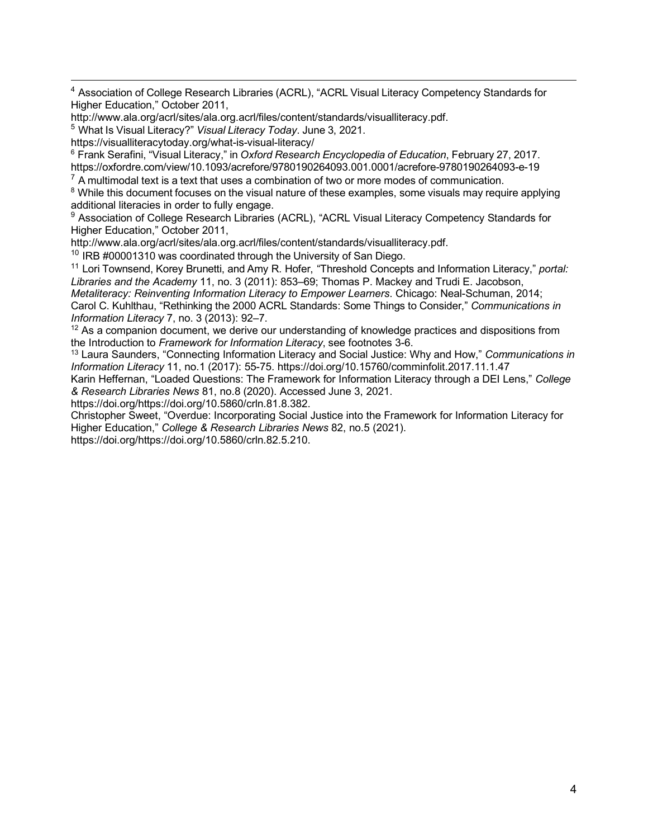<span id="page-3-0"></span><sup>4</sup> Association of College Research Libraries (ACRL), "ACRL Visual Literacy Competency Standards for Higher Education," October 2011,

[http://www.ala.org/acrl/sites/ala.org.acrl/files/content/standards/visualliteracy.pdf.](http://www.ala.org/acrl/sites/ala.org.acrl/files/content/standards/visualliteracy.pdf)

<span id="page-3-1"></span><sup>5</sup> What Is Visual Literacy?" *Visual Literacy Today*. June 3, 2021.

https://visualliteracytoday.org/what-is-visual-literacy/

<span id="page-3-2"></span><sup>6</sup> Frank Serafini, "Visual Literacy," in *Oxford Research Encyclopedia of Education*, February 27, 2017. https://oxfordre.com/view/10.1093/acrefore/9780190264093.001.0001/acrefore-9780190264093-e-19

<span id="page-3-3"></span> $7$  A multimodal text is a text that uses a combination of two or more modes of communication.

<span id="page-3-4"></span><sup>8</sup> While this document focuses on the visual nature of these examples, some visuals may require applying additional literacies in order to fully engage.

<span id="page-3-5"></span><sup>9</sup> Association of College Research Libraries (ACRL), "ACRL Visual Literacy Competency Standards for Higher Education," October 2011,

http://www.ala.org/acrl/sites/ala.org.acrl/files/content/standards/visualliteracy.pdf.

<span id="page-3-6"></span> $10$  IRB #00001310 was coordinated through the University of San Diego.

<span id="page-3-7"></span><sup>11</sup> Lori Townsend, Korey Brunetti, and Amy R. Hofer, "Threshold Concepts and Information Literacy," *portal: Libraries and the Academy* 11, no. 3 (2011): 853–69; Thomas P. Mackey and Trudi E. Jacobson,

*Metaliteracy: Reinventing Information Literacy to Empower Learners*. Chicago: Neal-Schuman, 2014; Carol C. Kuhlthau, "Rethinking the 2000 ACRL Standards: Some Things to Consider," *Communications in Information Literacy* 7, no. 3 (2013): 92–7.

<span id="page-3-8"></span> $12$  As a companion document, we derive our understanding of knowledge practices and dispositions from the Introduction to *Framework for Information Literacy*, see footnotes 3-6.

<span id="page-3-9"></span><sup>13</sup> Laura Saunders, "Connecting Information Literacy and Social Justice: Why and How," *Communications in Information Literacy* 11, no.1 (2017): 55-75. https://doi.org/10.15760/comminfolit.2017.11.1.47

Karin Heffernan, "Loaded Questions: The Framework for Information Literacy through a DEI Lens," *College & Research Libraries News* 81, no.8 (2020). Accessed June 3, 2021.

https://doi.org/https://doi.org/10.5860/crln.81.8.382.

Christopher Sweet, "Overdue: Incorporating Social Justice into the Framework for Information Literacy for Higher Education," *College & Research Libraries News* 82, no.5 (2021). https://doi.org/https://doi.org/10.5860/crln.82.5.210.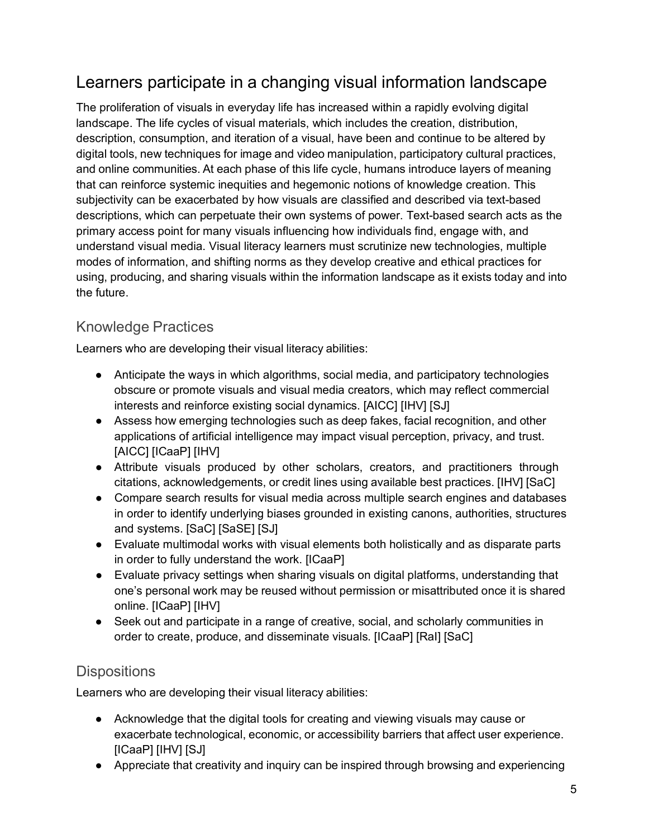### Learners participate in a changing visual information landscape

The proliferation of visuals in everyday life has increased within a rapidly evolving digital landscape. The life cycles of visual materials, which includes the creation, distribution, description, consumption, and iteration of a visual, have been and continue to be altered by digital tools, new techniques for image and video manipulation, participatory cultural practices, and online communities. At each phase of this life cycle, humans introduce layers of meaning that can reinforce systemic inequities and hegemonic notions of knowledge creation. This subjectivity can be exacerbated by how visuals are classified and described via text-based descriptions, which can perpetuate their own systems of power. Text-based search acts as the primary access point for many visuals influencing how individuals find, engage with, and understand visual media. Visual literacy learners must scrutinize new technologies, multiple modes of information, and shifting norms as they develop creative and ethical practices for using, producing, and sharing visuals within the information landscape as it exists today and into the future.

#### Knowledge Practices

Learners who are developing their visual literacy abilities:

- Anticipate the ways in which algorithms, social media, and participatory technologies obscure or promote visuals and visual media creators, which may reflect commercial interests and reinforce existing social dynamics. [AICC] [IHV] [SJ]
- Assess how emerging technologies such as deep fakes, facial recognition, and other applications of artificial intelligence may impact visual perception, privacy, and trust. [AICC] [ICaaP] [IHV]
- Attribute visuals produced by other scholars, creators, and practitioners through citations, acknowledgements, or credit lines using available best practices. [IHV] [SaC]
- Compare search results for visual media across multiple search engines and databases in order to identify underlying biases grounded in existing canons, authorities, structures and systems. [SaC] [SaSE] [SJ]
- Evaluate multimodal works with visual elements both holistically and as disparate parts in order to fully understand the work. [ICaaP]
- Evaluate privacy settings when sharing visuals on digital platforms, understanding that one's personal work may be reused without permission or misattributed once it is shared online. [ICaaP] [IHV]
- Seek out and participate in a range of creative, social, and scholarly communities in order to create, produce, and disseminate visuals. [ICaaP] [RaI] [SaC]

#### **Dispositions**

Learners who are developing their visual literacy abilities:

- Acknowledge that the digital tools for creating and viewing visuals may cause or exacerbate technological, economic, or accessibility barriers that affect user experience. [ICaaP] [IHV] [SJ]
- Appreciate that creativity and inquiry can be inspired through browsing and experiencing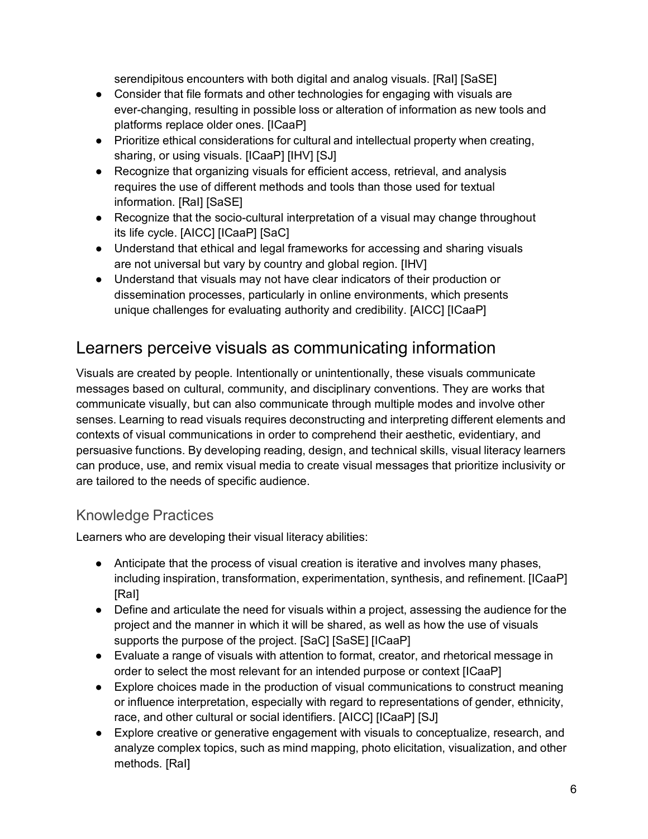serendipitous encounters with both digital and analog visuals. [RaI] [SaSE]

- Consider that file formats and other technologies for engaging with visuals are ever-changing, resulting in possible loss or alteration of information as new tools and platforms replace older ones. [ICaaP]
- Prioritize ethical considerations for cultural and intellectual property when creating, sharing, or using visuals. [ICaaP] [IHV] [SJ]
- Recognize that organizing visuals for efficient access, retrieval, and analysis requires the use of different methods and tools than those used for textual information. [RaI] [SaSE]
- Recognize that the socio-cultural interpretation of a visual may change throughout its life cycle. [AICC] [ICaaP] [SaC]
- Understand that ethical and legal frameworks for accessing and sharing visuals are not universal but vary by country and global region. [IHV]
- Understand that visuals may not have clear indicators of their production or dissemination processes, particularly in online environments, which presents unique challenges for evaluating authority and credibility. [AICC] [ICaaP]

### Learners perceive visuals as communicating information

Visuals are created by people. Intentionally or unintentionally, these visuals communicate messages based on cultural, community, and disciplinary conventions. They are works that communicate visually, but can also communicate through multiple modes and involve other senses. Learning to read visuals requires deconstructing and interpreting different elements and contexts of visual communications in order to comprehend their aesthetic, evidentiary, and persuasive functions. By developing reading, design, and technical skills, visual literacy learners can produce, use, and remix visual media to create visual messages that prioritize inclusivity or are tailored to the needs of specific audience.

### Knowledge Practices

Learners who are developing their visual literacy abilities:

- Anticipate that the process of visual creation is iterative and involves many phases, including inspiration, transformation, experimentation, synthesis, and refinement. [ICaaP] [RaI]
- Define and articulate the need for visuals within a project, assessing the audience for the project and the manner in which it will be shared, as well as how the use of visuals supports the purpose of the project. [SaC] [SaSE] [ICaaP]
- Evaluate a range of visuals with attention to format, creator, and rhetorical message in order to select the most relevant for an intended purpose or context [ICaaP]
- Explore choices made in the production of visual communications to construct meaning or influence interpretation, especially with regard to representations of gender, ethnicity, race, and other cultural or social identifiers. [AICC] [ICaaP] [SJ]
- Explore creative or generative engagement with visuals to conceptualize, research, and analyze complex topics, such as mind mapping, photo elicitation, visualization, and other methods. [RaI]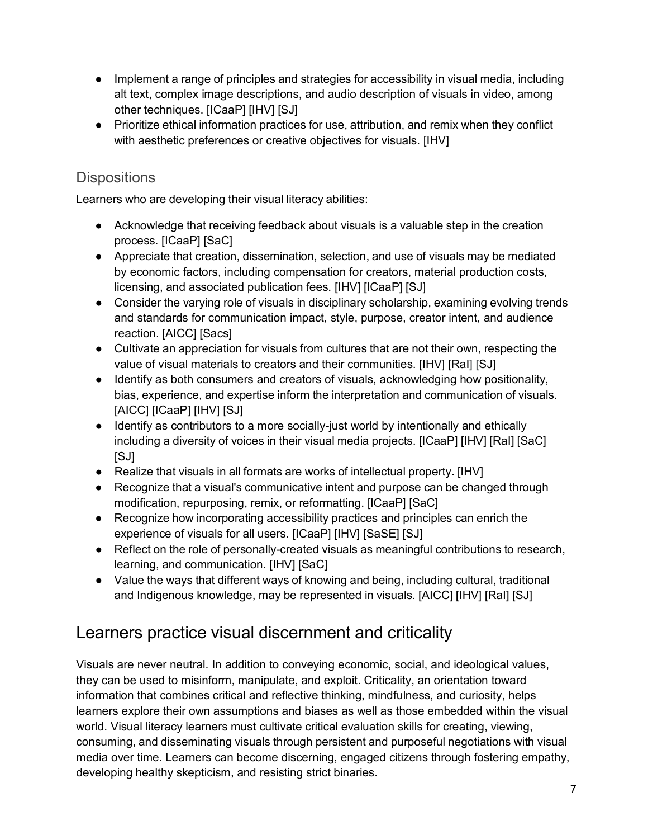- Implement a range of principles and strategies for accessibility in visual media, including alt text, complex image descriptions, and audio description of visuals in video, among other techniques. [ICaaP] [IHV] [SJ]
- Prioritize ethical information practices for use, attribution, and remix when they conflict with aesthetic preferences or creative objectives for visuals. [IHV]

#### **Dispositions**

Learners who are developing their visual literacy abilities:

- Acknowledge that receiving feedback about visuals is a valuable step in the creation process. [ICaaP] [SaC]
- Appreciate that creation, dissemination, selection, and use of visuals may be mediated by economic factors, including compensation for creators, material production costs, licensing, and associated publication fees. [IHV] [ICaaP] [SJ]
- Consider the varying role of visuals in disciplinary scholarship, examining evolving trends and standards for communication impact, style, purpose, creator intent, and audience reaction. [AICC] [Sacs]
- Cultivate an appreciation for visuals from cultures that are not their own, respecting the value of visual materials to creators and their communities. [IHV] [RaI] [SJ]
- Identify as both consumers and creators of visuals, acknowledging how positionality, bias, experience, and expertise inform the interpretation and communication of visuals. [AICC] [ICaaP] [IHV] [SJ]
- Identify as contributors to a more socially-just world by intentionally and ethically including a diversity of voices in their visual media projects. [ICaaP] [IHV] [RaI] [SaC] [SJ]
- Realize that visuals in all formats are works of intellectual property. [IHV]
- Recognize that a visual's communicative intent and purpose can be changed through modification, repurposing, remix, or reformatting. [ICaaP] [SaC]
- Recognize how incorporating accessibility practices and principles can enrich the experience of visuals for all users. [ICaaP] [IHV] [SaSE] [SJ]
- Reflect on the role of personally-created visuals as meaningful contributions to research, learning, and communication. [IHV] [SaC]
- Value the ways that different ways of knowing and being, including cultural, traditional and Indigenous knowledge, may be represented in visuals. [AICC] [IHV] [RaI] [SJ]

### Learners practice visual discernment and criticality

Visuals are never neutral. In addition to conveying economic, social, and ideological values, they can be used to misinform, manipulate, and exploit. Criticality, an orientation toward information that combines critical and reflective thinking, mindfulness, and curiosity, helps learners explore their own assumptions and biases as well as those embedded within the visual world. Visual literacy learners must cultivate critical evaluation skills for creating, viewing, consuming, and disseminating visuals through persistent and purposeful negotiations with visual media over time. Learners can become discerning, engaged citizens through fostering empathy, developing healthy skepticism, and resisting strict binaries.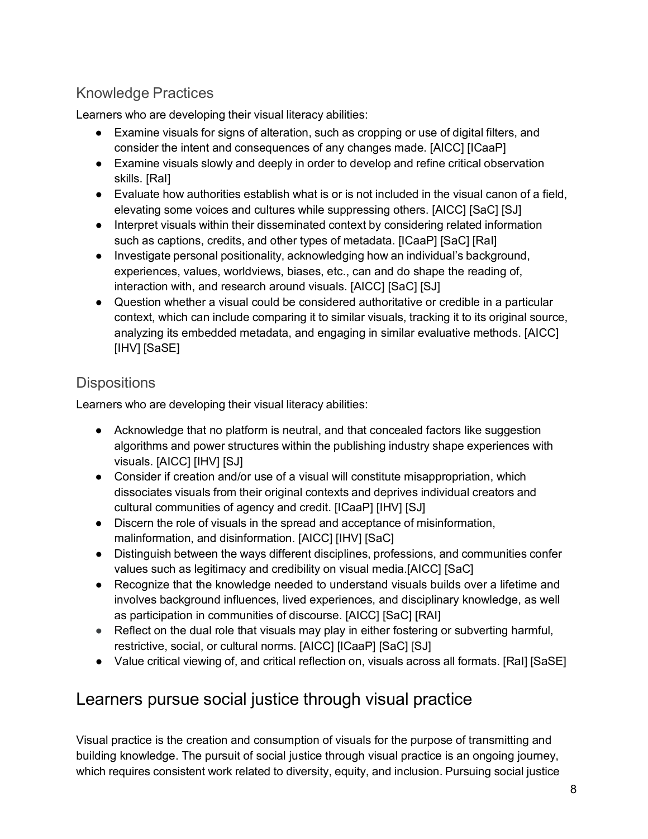### Knowledge Practices

Learners who are developing their visual literacy abilities:

- Examine visuals for signs of alteration, such as cropping or use of digital filters, and consider the intent and consequences of any changes made. [AICC] [ICaaP]
- Examine visuals slowly and deeply in order to develop and refine critical observation skills. [RaI]
- Evaluate how authorities establish what is or is not included in the visual canon of a field, elevating some voices and cultures while suppressing others. [AICC] [SaC] [SJ]
- Interpret visuals within their disseminated context by considering related information such as captions, credits, and other types of metadata. [ICaaP] [SaC] [RaI]
- Investigate personal positionality, acknowledging how an individual's background, experiences, values, worldviews, biases, etc., can and do shape the reading of, interaction with, and research around visuals. [AICC] [SaC] [SJ]
- Question whether a visual could be considered authoritative or credible in a particular context, which can include comparing it to similar visuals, tracking it to its original source, analyzing its embedded metadata, and engaging in similar evaluative methods. [AICC] [IHV] [SaSE]

### **Dispositions**

Learners who are developing their visual literacy abilities:

- Acknowledge that no platform is neutral, and that concealed factors like suggestion algorithms and power structures within the publishing industry shape experiences with visuals. [AICC] [IHV] [SJ]
- Consider if creation and/or use of a visual will constitute misappropriation, which dissociates visuals from their original contexts and deprives individual creators and cultural communities of agency and credit. [ICaaP] [IHV] [SJ]
- Discern the role of visuals in the spread and acceptance of misinformation, malinformation, and disinformation. [AICC] [IHV] [SaC]
- Distinguish between the ways different disciplines, professions, and communities confer values such as legitimacy and credibility on visual media.[AICC] [SaC]
- Recognize that the knowledge needed to understand visuals builds over a lifetime and involves background influences, lived experiences, and disciplinary knowledge, as well as participation in communities of discourse. [AICC] [SaC] [RAI]
- Reflect on the dual role that visuals may play in either fostering or subverting harmful, restrictive, social, or cultural norms. [AICC] [ICaaP] [SaC] [SJ]
- Value critical viewing of, and critical reflection on, visuals across all formats. [RaI] [SaSE]

### Learners pursue social justice through visual practice

Visual practice is the creation and consumption of visuals for the purpose of transmitting and building knowledge. The pursuit of social justice through visual practice is an ongoing journey, which requires consistent work related to diversity, equity, and inclusion. Pursuing social justice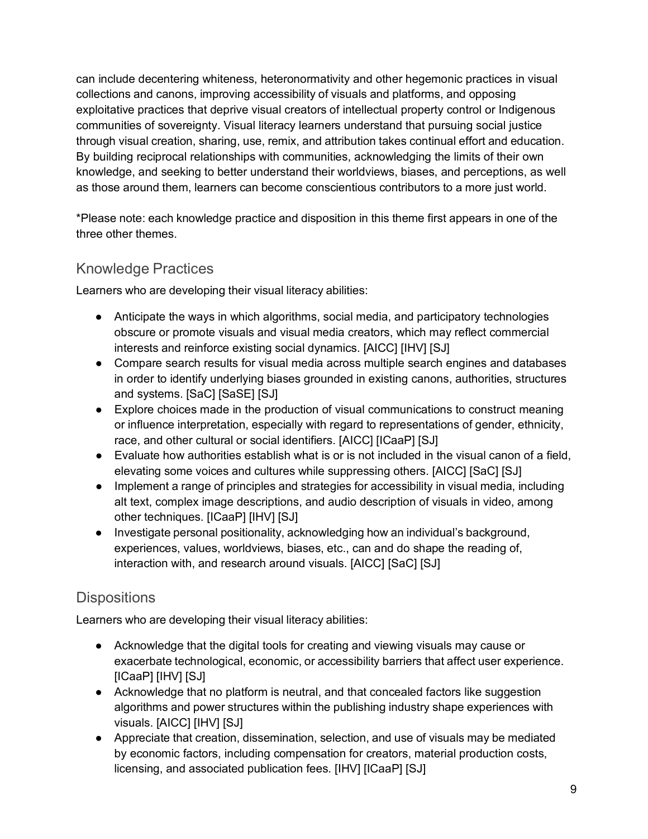can include decentering whiteness, heteronormativity and other hegemonic practices in visual collections and canons, improving accessibility of visuals and platforms, and opposing exploitative practices that deprive visual creators of intellectual property control or Indigenous communities of sovereignty. Visual literacy learners understand that pursuing social justice through visual creation, sharing, use, remix, and attribution takes continual effort and education. By building reciprocal relationships with communities, acknowledging the limits of their own knowledge, and seeking to better understand their worldviews, biases, and perceptions, as well as those around them, learners can become conscientious contributors to a more just world.

\*Please note: each knowledge practice and disposition in this theme first appears in one of the three other themes.

### Knowledge Practices

Learners who are developing their visual literacy abilities:

- Anticipate the ways in which algorithms, social media, and participatory technologies obscure or promote visuals and visual media creators, which may reflect commercial interests and reinforce existing social dynamics. [AICC] [IHV] [SJ]
- Compare search results for visual media across multiple search engines and databases in order to identify underlying biases grounded in existing canons, authorities, structures and systems. [SaC] [SaSE] [SJ]
- Explore choices made in the production of visual communications to construct meaning or influence interpretation, especially with regard to representations of gender, ethnicity, race, and other cultural or social identifiers. [AICC] [ICaaP] [SJ]
- Evaluate how authorities establish what is or is not included in the visual canon of a field, elevating some voices and cultures while suppressing others. [AICC] [SaC] [SJ]
- Implement a range of principles and strategies for accessibility in visual media, including alt text, complex image descriptions, and audio description of visuals in video, among other techniques. [ICaaP] [IHV] [SJ]
- Investigate personal positionality, acknowledging how an individual's background, experiences, values, worldviews, biases, etc., can and do shape the reading of, interaction with, and research around visuals. [AICC] [SaC] [SJ]

### **Dispositions**

Learners who are developing their visual literacy abilities:

- Acknowledge that the digital tools for creating and viewing visuals may cause or exacerbate technological, economic, or accessibility barriers that affect user experience. [ICaaP] [IHV] [SJ]
- Acknowledge that no platform is neutral, and that concealed factors like suggestion algorithms and power structures within the publishing industry shape experiences with visuals. [AICC] [IHV] [SJ]
- Appreciate that creation, dissemination, selection, and use of visuals may be mediated by economic factors, including compensation for creators, material production costs, licensing, and associated publication fees. [IHV] [ICaaP] [SJ]